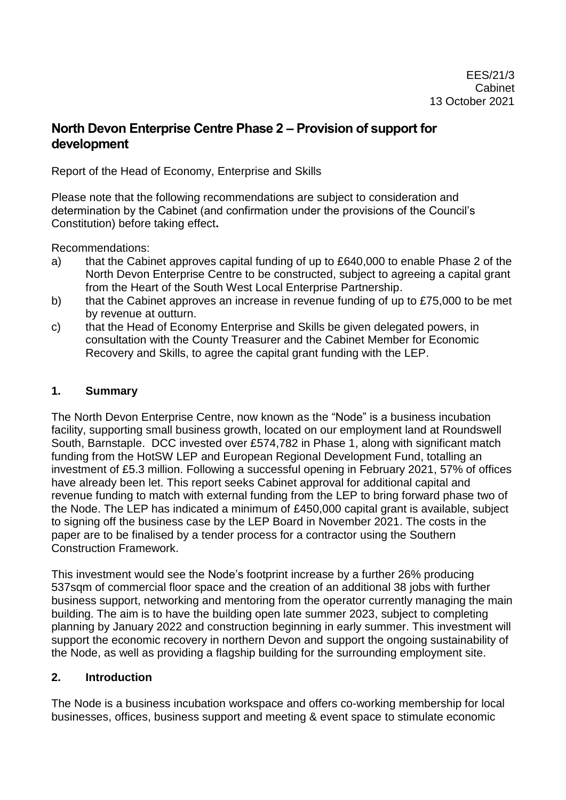## **North Devon Enterprise Centre Phase 2 – Provision of support for development**

Report of the Head of Economy, Enterprise and Skills

Please note that the following recommendations are subject to consideration and determination by the Cabinet (and confirmation under the provisions of the Council's Constitution) before taking effect**.**

Recommendations:

- a) that the Cabinet approves capital funding of up to £640,000 to enable Phase 2 of the North Devon Enterprise Centre to be constructed, subject to agreeing a capital grant from the Heart of the South West Local Enterprise Partnership.
- b) that the Cabinet approves an increase in revenue funding of up to £75,000 to be met by revenue at outturn.
- c) that the Head of Economy Enterprise and Skills be given delegated powers, in consultation with the County Treasurer and the Cabinet Member for Economic Recovery and Skills, to agree the capital grant funding with the LEP.

#### **1. Summary**

The North Devon Enterprise Centre, now known as the "Node" is a business incubation facility, supporting small business growth, located on our employment land at Roundswell South, Barnstaple. DCC invested over £574,782 in Phase 1, along with significant match funding from the HotSW LEP and European Regional Development Fund, totalling an investment of £5.3 million. Following a successful opening in February 2021, 57% of offices have already been let. This report seeks Cabinet approval for additional capital and revenue funding to match with external funding from the LEP to bring forward phase two of the Node. The LEP has indicated a minimum of £450,000 capital grant is available, subject to signing off the business case by the LEP Board in November 2021. The costs in the paper are to be finalised by a tender process for a contractor using the Southern Construction Framework.

This investment would see the Node's footprint increase by a further 26% producing 537sqm of commercial floor space and the creation of an additional 38 jobs with further business support, networking and mentoring from the operator currently managing the main building. The aim is to have the building open late summer 2023, subject to completing planning by January 2022 and construction beginning in early summer. This investment will support the economic recovery in northern Devon and support the ongoing sustainability of the Node, as well as providing a flagship building for the surrounding employment site.

#### **2. Introduction**

The Node is a business incubation workspace and offers co-working membership for local businesses, offices, business support and meeting & event space to stimulate economic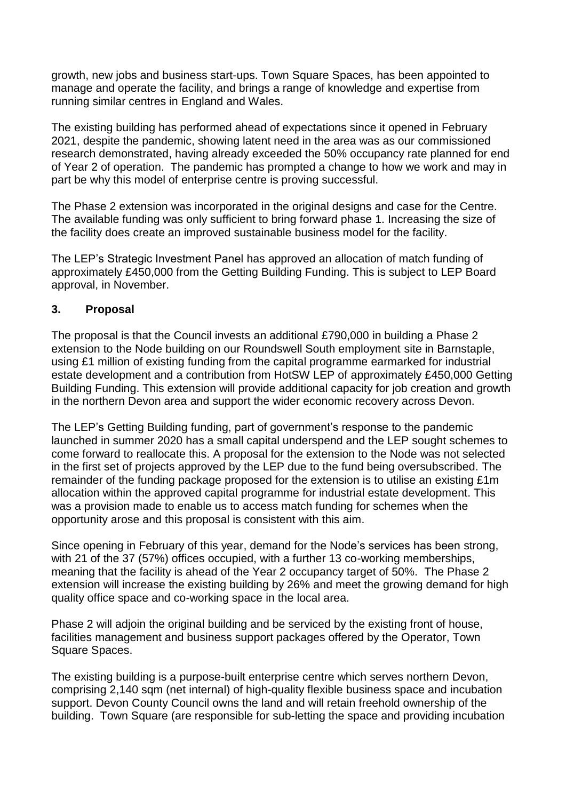growth, new jobs and business start-ups. Town Square Spaces, has been appointed to manage and operate the facility, and brings a range of knowledge and expertise from running similar centres in England and Wales.

The existing building has performed ahead of expectations since it opened in February 2021, despite the pandemic, showing latent need in the area was as our commissioned research demonstrated, having already exceeded the 50% occupancy rate planned for end of Year 2 of operation. The pandemic has prompted a change to how we work and may in part be why this model of enterprise centre is proving successful.

The Phase 2 extension was incorporated in the original designs and case for the Centre. The available funding was only sufficient to bring forward phase 1. Increasing the size of the facility does create an improved sustainable business model for the facility.

The LEP's Strategic Investment Panel has approved an allocation of match funding of approximately £450,000 from the Getting Building Funding. This is subject to LEP Board approval, in November.

#### **3. Proposal**

The proposal is that the Council invests an additional £790,000 in building a Phase 2 extension to the Node building on our Roundswell South employment site in Barnstaple, using £1 million of existing funding from the capital programme earmarked for industrial estate development and a contribution from HotSW LEP of approximately £450,000 Getting Building Funding. This extension will provide additional capacity for job creation and growth in the northern Devon area and support the wider economic recovery across Devon.

The LEP's Getting Building funding, part of government's response to the pandemic launched in summer 2020 has a small capital underspend and the LEP sought schemes to come forward to reallocate this. A proposal for the extension to the Node was not selected in the first set of projects approved by the LEP due to the fund being oversubscribed. The remainder of the funding package proposed for the extension is to utilise an existing £1m allocation within the approved capital programme for industrial estate development. This was a provision made to enable us to access match funding for schemes when the opportunity arose and this proposal is consistent with this aim.

Since opening in February of this year, demand for the Node's services has been strong, with 21 of the 37 (57%) offices occupied, with a further 13 co-working memberships, meaning that the facility is ahead of the Year 2 occupancy target of 50%. The Phase 2 extension will increase the existing building by 26% and meet the growing demand for high quality office space and co-working space in the local area.

Phase 2 will adjoin the original building and be serviced by the existing front of house, facilities management and business support packages offered by the Operator, Town Square Spaces.

The existing building is a purpose-built enterprise centre which serves northern Devon, comprising 2,140 sqm (net internal) of high-quality flexible business space and incubation support. Devon County Council owns the land and will retain freehold ownership of the building. Town Square (are responsible for sub-letting the space and providing incubation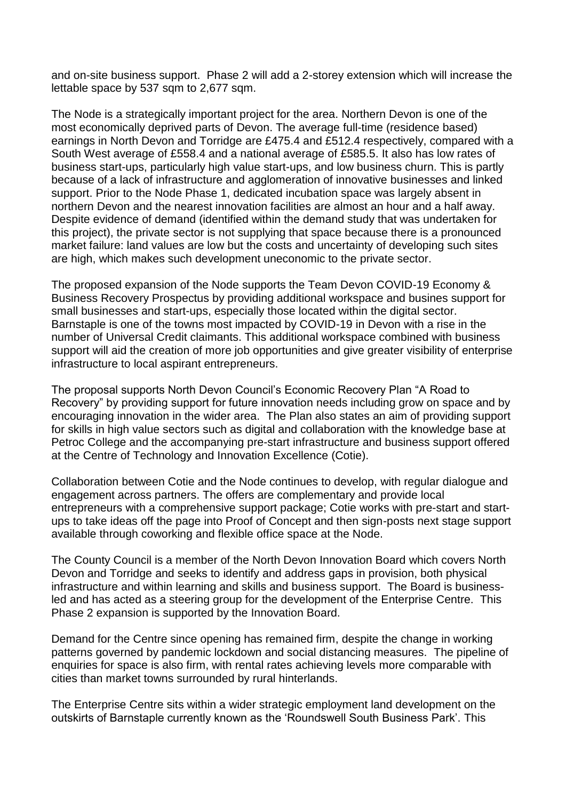and on-site business support. Phase 2 will add a 2-storey extension which will increase the lettable space by 537 sqm to 2,677 sqm.

The Node is a strategically important project for the area. Northern Devon is one of the most economically deprived parts of Devon. The average full-time (residence based) earnings in North Devon and Torridge are £475.4 and £512.4 respectively, compared with a South West average of £558.4 and a national average of £585.5. It also has low rates of business start-ups, particularly high value start-ups, and low business churn. This is partly because of a lack of infrastructure and agglomeration of innovative businesses and linked support. Prior to the Node Phase 1, dedicated incubation space was largely absent in northern Devon and the nearest innovation facilities are almost an hour and a half away. Despite evidence of demand (identified within the demand study that was undertaken for this project), the private sector is not supplying that space because there is a pronounced market failure: land values are low but the costs and uncertainty of developing such sites are high, which makes such development uneconomic to the private sector.

The proposed expansion of the Node supports the Team Devon COVID-19 Economy & Business Recovery Prospectus by providing additional workspace and busines support for small businesses and start-ups, especially those located within the digital sector. Barnstaple is one of the towns most impacted by COVID-19 in Devon with a rise in the number of Universal Credit claimants. This additional workspace combined with business support will aid the creation of more job opportunities and give greater visibility of enterprise infrastructure to local aspirant entrepreneurs.

The proposal supports North Devon Council's Economic Recovery Plan "A Road to Recovery" by providing support for future innovation needs including grow on space and by encouraging innovation in the wider area. The Plan also states an aim of providing support for skills in high value sectors such as digital and collaboration with the knowledge base at Petroc College and the accompanying pre-start infrastructure and business support offered at the Centre of Technology and Innovation Excellence (Cotie).

Collaboration between Cotie and the Node continues to develop, with regular dialogue and engagement across partners. The offers are complementary and provide local entrepreneurs with a comprehensive support package; Cotie works with pre-start and startups to take ideas off the page into Proof of Concept and then sign-posts next stage support available through coworking and flexible office space at the Node.

The County Council is a member of the North Devon Innovation Board which covers North Devon and Torridge and seeks to identify and address gaps in provision, both physical infrastructure and within learning and skills and business support. The Board is businessled and has acted as a steering group for the development of the Enterprise Centre. This Phase 2 expansion is supported by the Innovation Board.

Demand for the Centre since opening has remained firm, despite the change in working patterns governed by pandemic lockdown and social distancing measures. The pipeline of enquiries for space is also firm, with rental rates achieving levels more comparable with cities than market towns surrounded by rural hinterlands.

The Enterprise Centre sits within a wider strategic employment land development on the outskirts of Barnstaple currently known as the 'Roundswell South Business Park'. This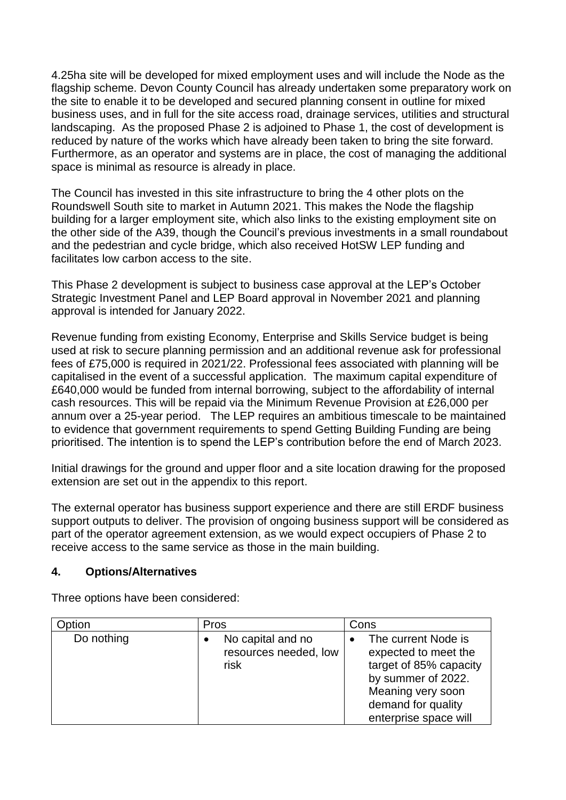4.25ha site will be developed for mixed employment uses and will include the Node as the flagship scheme. Devon County Council has already undertaken some preparatory work on the site to enable it to be developed and secured planning consent in outline for mixed business uses, and in full for the site access road, drainage services, utilities and structural landscaping. As the proposed Phase 2 is adjoined to Phase 1, the cost of development is reduced by nature of the works which have already been taken to bring the site forward. Furthermore, as an operator and systems are in place, the cost of managing the additional space is minimal as resource is already in place.

The Council has invested in this site infrastructure to bring the 4 other plots on the Roundswell South site to market in Autumn 2021. This makes the Node the flagship building for a larger employment site, which also links to the existing employment site on the other side of the A39, though the Council's previous investments in a small roundabout and the pedestrian and cycle bridge, which also received HotSW LEP funding and facilitates low carbon access to the site.

This Phase 2 development is subject to business case approval at the LEP's October Strategic Investment Panel and LEP Board approval in November 2021 and planning approval is intended for January 2022.

Revenue funding from existing Economy, Enterprise and Skills Service budget is being used at risk to secure planning permission and an additional revenue ask for professional fees of £75,000 is required in 2021/22. Professional fees associated with planning will be capitalised in the event of a successful application. The maximum capital expenditure of £640,000 would be funded from internal borrowing, subject to the affordability of internal cash resources. This will be repaid via the Minimum Revenue Provision at £26,000 per annum over a 25-year period. The LEP requires an ambitious timescale to be maintained to evidence that government requirements to spend Getting Building Funding are being prioritised. The intention is to spend the LEP's contribution before the end of March 2023.

Initial drawings for the ground and upper floor and a site location drawing for the proposed extension are set out in the appendix to this report.

The external operator has business support experience and there are still ERDF business support outputs to deliver. The provision of ongoing business support will be considered as part of the operator agreement extension, as we would expect occupiers of Phase 2 to receive access to the same service as those in the main building.

#### **4. Options/Alternatives**

Three options have been considered:

| <b>D</b> ption | Pros                                               | Cons                                                                                                                                                            |
|----------------|----------------------------------------------------|-----------------------------------------------------------------------------------------------------------------------------------------------------------------|
| Do nothing     | No capital and no<br>resources needed, low<br>risk | The current Node is<br>expected to meet the<br>target of 85% capacity<br>by summer of 2022.<br>Meaning very soon<br>demand for quality<br>enterprise space will |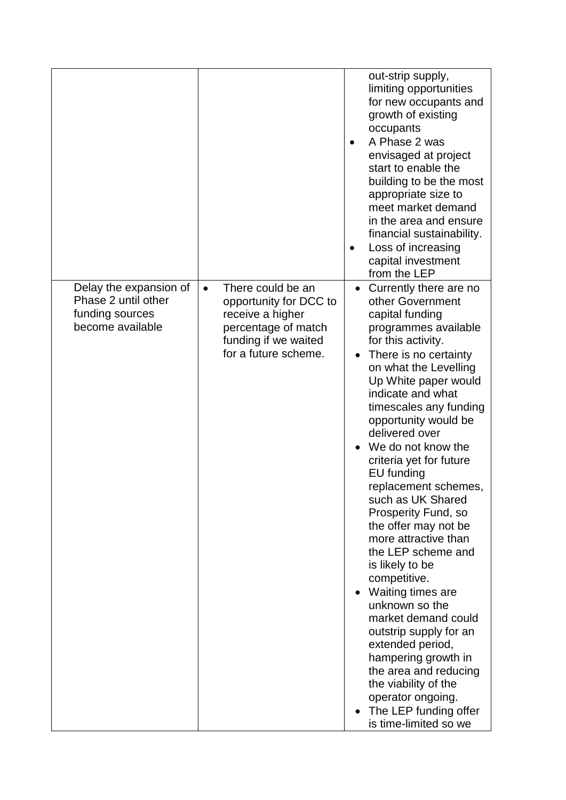|                                                                                      |                                                                                                                                                     | out-strip supply,<br>limiting opportunities<br>for new occupants and<br>growth of existing<br>occupants<br>A Phase 2 was<br>$\bullet$<br>envisaged at project<br>start to enable the<br>building to be the most<br>appropriate size to<br>meet market demand<br>in the area and ensure<br>financial sustainability.<br>Loss of increasing<br>$\bullet$<br>capital investment<br>from the LEP                                                                                                                                                                                                                                                                                                                                                                                                   |
|--------------------------------------------------------------------------------------|-----------------------------------------------------------------------------------------------------------------------------------------------------|------------------------------------------------------------------------------------------------------------------------------------------------------------------------------------------------------------------------------------------------------------------------------------------------------------------------------------------------------------------------------------------------------------------------------------------------------------------------------------------------------------------------------------------------------------------------------------------------------------------------------------------------------------------------------------------------------------------------------------------------------------------------------------------------|
| Delay the expansion of<br>Phase 2 until other<br>funding sources<br>become available | There could be an<br>$\bullet$<br>opportunity for DCC to<br>receive a higher<br>percentage of match<br>funding if we waited<br>for a future scheme. | • Currently there are no<br>other Government<br>capital funding<br>programmes available<br>for this activity.<br>There is no certainty<br>on what the Levelling<br>Up White paper would<br>indicate and what<br>timescales any funding<br>opportunity would be<br>delivered over<br>We do not know the<br>criteria yet for future<br>EU funding<br>replacement schemes,<br>such as UK Shared<br><b>Prosperity Fund, so</b><br>the offer may not be<br>more attractive than<br>the LEP scheme and<br>is likely to be<br>competitive.<br>Waiting times are<br>unknown so the<br>market demand could<br>outstrip supply for an<br>extended period,<br>hampering growth in<br>the area and reducing<br>the viability of the<br>operator ongoing.<br>The LEP funding offer<br>is time-limited so we |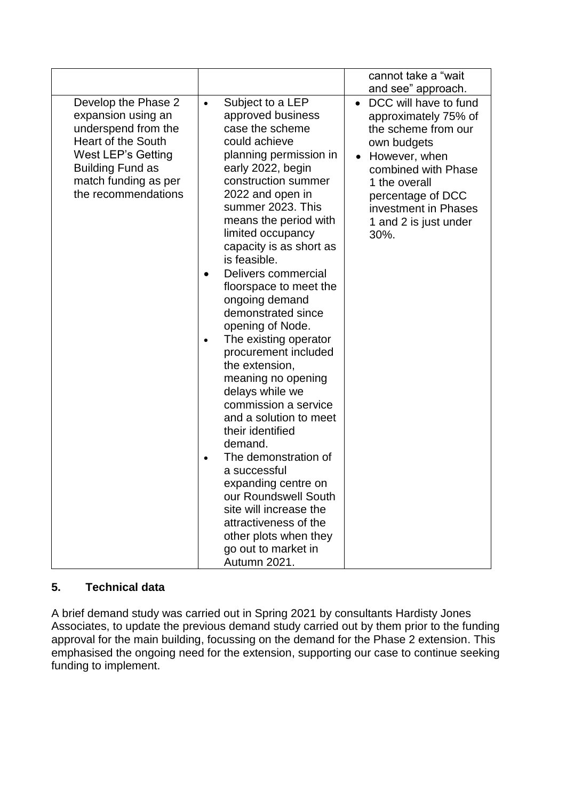|                                                                                                                                                                                               |                                                                                                                                                                                                                                                                                                                                                                                                                                                                                                                                                                                                                                                                                                                                                                                                                                 | cannot take a "wait                                                                                                                                                                                                                     |
|-----------------------------------------------------------------------------------------------------------------------------------------------------------------------------------------------|---------------------------------------------------------------------------------------------------------------------------------------------------------------------------------------------------------------------------------------------------------------------------------------------------------------------------------------------------------------------------------------------------------------------------------------------------------------------------------------------------------------------------------------------------------------------------------------------------------------------------------------------------------------------------------------------------------------------------------------------------------------------------------------------------------------------------------|-----------------------------------------------------------------------------------------------------------------------------------------------------------------------------------------------------------------------------------------|
|                                                                                                                                                                                               |                                                                                                                                                                                                                                                                                                                                                                                                                                                                                                                                                                                                                                                                                                                                                                                                                                 | and see" approach.                                                                                                                                                                                                                      |
| Develop the Phase 2<br>expansion using an<br>underspend from the<br><b>Heart of the South</b><br>West LEP's Getting<br><b>Building Fund as</b><br>match funding as per<br>the recommendations | Subject to a LEP<br>$\bullet$<br>approved business<br>case the scheme<br>could achieve<br>planning permission in<br>early 2022, begin<br>construction summer<br>2022 and open in<br>summer 2023. This<br>means the period with<br>limited occupancy<br>capacity is as short as<br>is feasible.<br>Delivers commercial<br>floorspace to meet the<br>ongoing demand<br>demonstrated since<br>opening of Node.<br>The existing operator<br>$\bullet$<br>procurement included<br>the extension,<br>meaning no opening<br>delays while we<br>commission a service<br>and a solution to meet<br>their identified<br>demand.<br>The demonstration of<br>a successful<br>expanding centre on<br>our Roundswell South<br>site will increase the<br>attractiveness of the<br>other plots when they<br>go out to market in<br>Autumn 2021. | DCC will have to fund<br>$\bullet$<br>approximately 75% of<br>the scheme from our<br>own budgets<br>However, when<br>combined with Phase<br>1 the overall<br>percentage of DCC<br>investment in Phases<br>1 and 2 is just under<br>30%. |

## **5. Technical data**

A brief demand study was carried out in Spring 2021 by consultants Hardisty Jones Associates, to update the previous demand study carried out by them prior to the funding approval for the main building, focussing on the demand for the Phase 2 extension. This emphasised the ongoing need for the extension, supporting our case to continue seeking funding to implement.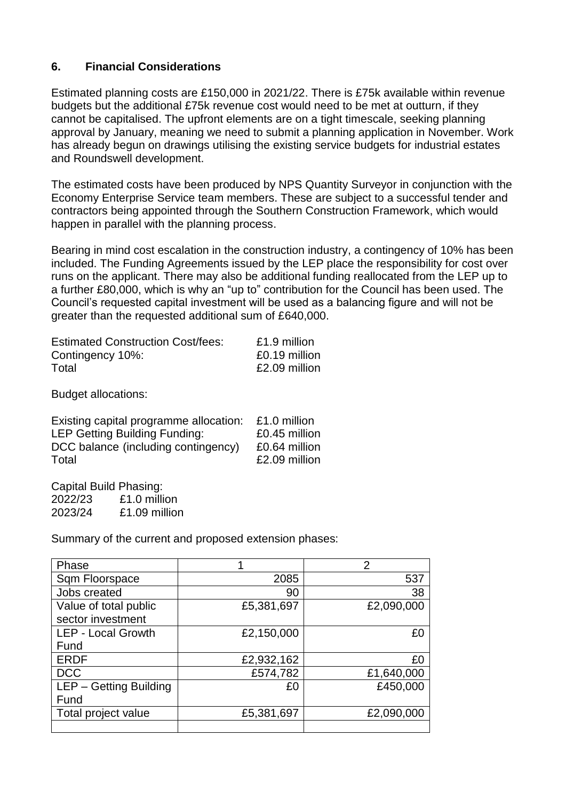#### **6. Financial Considerations**

Estimated planning costs are £150,000 in 2021/22. There is £75k available within revenue budgets but the additional £75k revenue cost would need to be met at outturn, if they cannot be capitalised. The upfront elements are on a tight timescale, seeking planning approval by January, meaning we need to submit a planning application in November. Work has already begun on drawings utilising the existing service budgets for industrial estates and Roundswell development.

The estimated costs have been produced by NPS Quantity Surveyor in conjunction with the Economy Enterprise Service team members. These are subject to a successful tender and contractors being appointed through the Southern Construction Framework, which would happen in parallel with the planning process.

Bearing in mind cost escalation in the construction industry, a contingency of 10% has been included. The Funding Agreements issued by the LEP place the responsibility for cost over runs on the applicant. There may also be additional funding reallocated from the LEP up to a further £80,000, which is why an "up to" contribution for the Council has been used. The Council's requested capital investment will be used as a balancing figure and will not be greater than the requested additional sum of £640,000.

| <b>Estimated Construction Cost/fees:</b> | £1.9 million  |
|------------------------------------------|---------------|
| Contingency 10%:                         | £0.19 million |
| Total                                    | £2.09 million |

Budget allocations:

| Existing capital programme allocation: | £1.0 million  |
|----------------------------------------|---------------|
| <b>LEP Getting Building Funding:</b>   | £0.45 million |
| DCC balance (including contingency)    | £0.64 million |
| Total                                  | £2.09 million |
|                                        |               |

Capital Build Phasing: 2022/23 £1.0 million 2023/24 £1.09 million

Summary of the current and proposed extension phases:

| Phase                     |            | 2          |
|---------------------------|------------|------------|
| Sqm Floorspace            | 2085       | 537        |
| Jobs created              | 90         | 38         |
| Value of total public     | £5,381,697 | £2,090,000 |
| sector investment         |            |            |
| <b>LEP - Local Growth</b> | £2,150,000 | £0         |
| Fund                      |            |            |
| <b>ERDF</b>               | £2,932,162 | £0         |
| <b>DCC</b>                | £574,782   | £1,640,000 |
| LEP - Getting Building    | £0         | £450,000   |
| Fund                      |            |            |
| Total project value       | £5,381,697 | £2,090,000 |
|                           |            |            |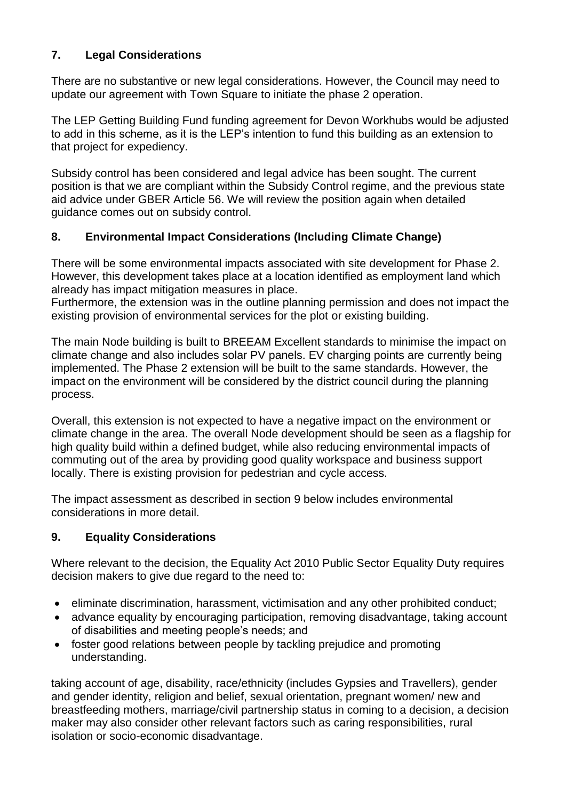### **7. Legal Considerations**

There are no substantive or new legal considerations. However, the Council may need to update our agreement with Town Square to initiate the phase 2 operation.

The LEP Getting Building Fund funding agreement for Devon Workhubs would be adjusted to add in this scheme, as it is the LEP's intention to fund this building as an extension to that project for expediency.

Subsidy control has been considered and legal advice has been sought. The current position is that we are compliant within the Subsidy Control regime, and the previous state aid advice under GBER Article 56. We will review the position again when detailed guidance comes out on subsidy control.

### **8. Environmental Impact Considerations (Including Climate Change)**

There will be some environmental impacts associated with site development for Phase 2. However, this development takes place at a location identified as employment land which already has impact mitigation measures in place.

Furthermore, the extension was in the outline planning permission and does not impact the existing provision of environmental services for the plot or existing building.

The main Node building is built to BREEAM Excellent standards to minimise the impact on climate change and also includes solar PV panels. EV charging points are currently being implemented. The Phase 2 extension will be built to the same standards. However, the impact on the environment will be considered by the district council during the planning process.

Overall, this extension is not expected to have a negative impact on the environment or climate change in the area. The overall Node development should be seen as a flagship for high quality build within a defined budget, while also reducing environmental impacts of commuting out of the area by providing good quality workspace and business support locally. There is existing provision for pedestrian and cycle access.

The impact assessment as described in section 9 below includes environmental considerations in more detail.

## **9. Equality Considerations**

Where relevant to the decision, the Equality Act 2010 Public Sector Equality Duty requires decision makers to give due regard to the need to:

- eliminate discrimination, harassment, victimisation and any other prohibited conduct;
- advance equality by encouraging participation, removing disadvantage, taking account of disabilities and meeting people's needs; and
- foster good relations between people by tackling prejudice and promoting understanding.

taking account of age, disability, race/ethnicity (includes Gypsies and Travellers), gender and gender identity, religion and belief, sexual orientation, pregnant women/ new and breastfeeding mothers, marriage/civil partnership status in coming to a decision, a decision maker may also consider other relevant factors such as caring responsibilities, rural isolation or socio-economic disadvantage.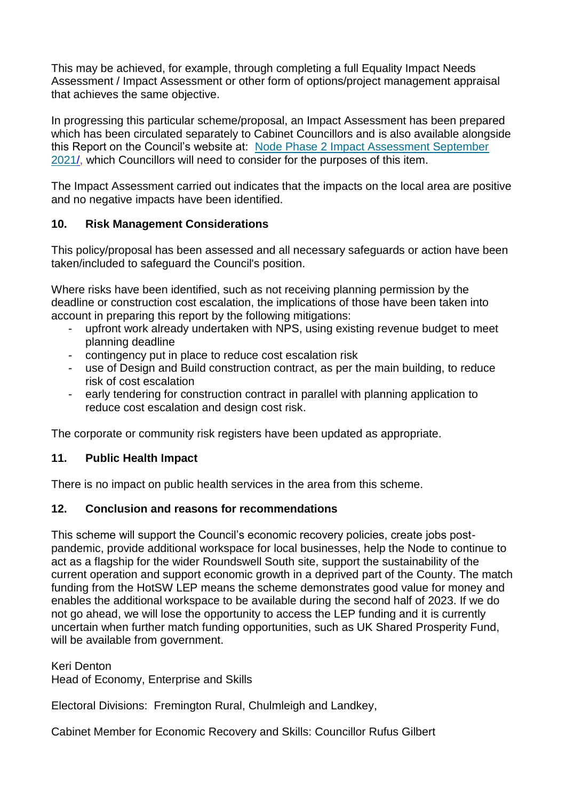This may be achieved, for example, through completing a full Equality Impact Needs Assessment / Impact Assessment or other form of options/project management appraisal that achieves the same objective.

In progressing this particular scheme/proposal, an Impact Assessment has been prepared which has been circulated separately to Cabinet Councillors and is also available alongside this Report on the Council's website at: [Node Phase 2 Impact Assessment September](https://devoncc.sharepoint.com/:b:/s/PublicDocs/Corporate/ERzsFfvA-q1Hi9Au47GWv2QBx6Vy-G83vMAi2KDClDa0ag?e=g0tRks)  [2021/](https://devoncc.sharepoint.com/:b:/s/PublicDocs/Corporate/ERzsFfvA-q1Hi9Au47GWv2QBx6Vy-G83vMAi2KDClDa0ag?e=g0tRks), which Councillors will need to consider for the purposes of this item.

The Impact Assessment carried out indicates that the impacts on the local area are positive and no negative impacts have been identified.

### **10. Risk Management Considerations**

This policy/proposal has been assessed and all necessary safeguards or action have been taken/included to safeguard the Council's position.

Where risks have been identified, such as not receiving planning permission by the deadline or construction cost escalation, the implications of those have been taken into account in preparing this report by the following mitigations:

- upfront work already undertaken with NPS, using existing revenue budget to meet planning deadline
- contingency put in place to reduce cost escalation risk
- use of Design and Build construction contract, as per the main building, to reduce risk of cost escalation
- early tendering for construction contract in parallel with planning application to reduce cost escalation and design cost risk.

The corporate or community risk registers have been updated as appropriate.

### **11. Public Health Impact**

There is no impact on public health services in the area from this scheme.

### **12. Conclusion and reasons for recommendations**

This scheme will support the Council's economic recovery policies, create jobs postpandemic, provide additional workspace for local businesses, help the Node to continue to act as a flagship for the wider Roundswell South site, support the sustainability of the current operation and support economic growth in a deprived part of the County. The match funding from the HotSW LEP means the scheme demonstrates good value for money and enables the additional workspace to be available during the second half of 2023. If we do not go ahead, we will lose the opportunity to access the LEP funding and it is currently uncertain when further match funding opportunities, such as UK Shared Prosperity Fund, will be available from government.

Keri Denton Head of Economy, Enterprise and Skills

Electoral Divisions: Fremington Rural, Chulmleigh and Landkey,

Cabinet Member for Economic Recovery and Skills: Councillor Rufus Gilbert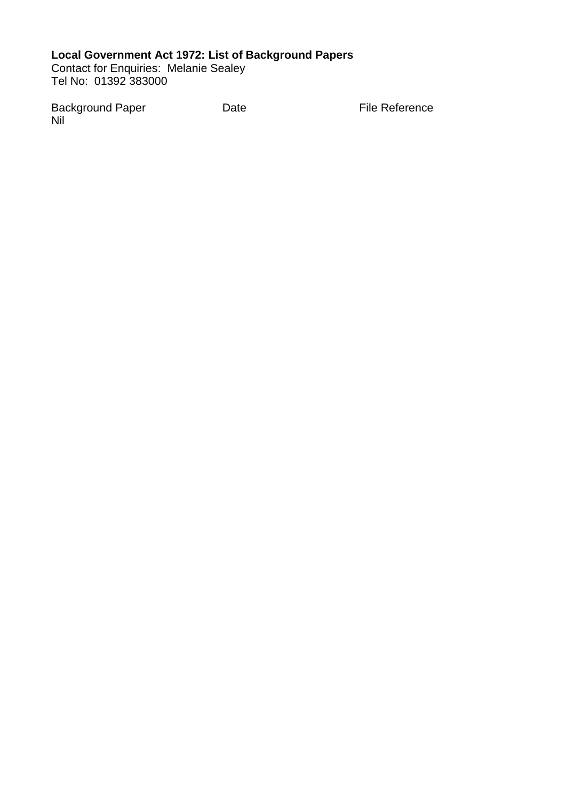### **Local Government Act 1972: List of Background Papers**

Contact for Enquiries: Melanie Sealey Tel No: 01392 383000

Background Paper **Date Date Contains Element Paper Contains Packground Paper** Nil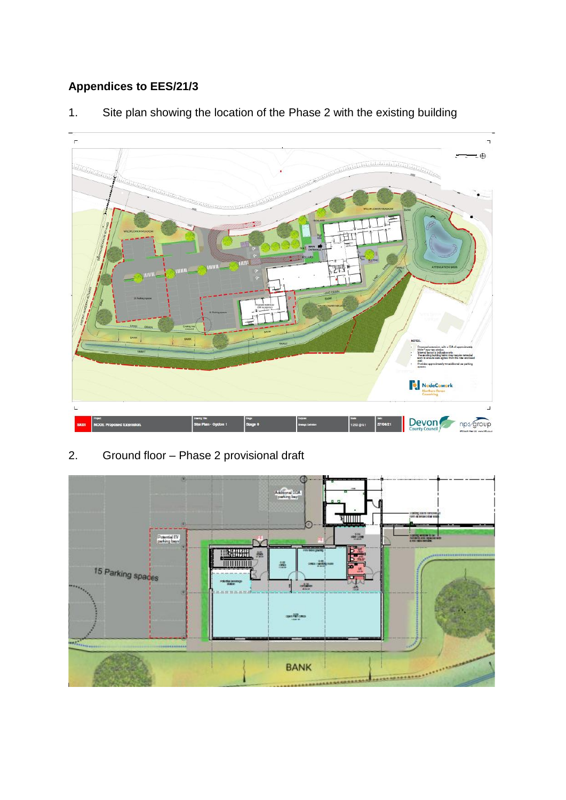# **Appendices to EES/21/3**



1. Site plan showing the location of the Phase 2 with the existing building

## 2. Ground floor – Phase 2 provisional draft